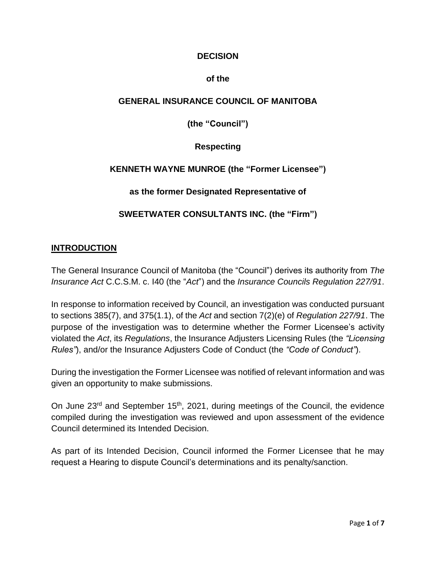## **DECISION**

#### **of the**

## **GENERAL INSURANCE COUNCIL OF MANITOBA**

**(the "Council")**

**Respecting**

## **KENNETH WAYNE MUNROE (the "Former Licensee")**

**as the former Designated Representative of**

#### **SWEETWATER CONSULTANTS INC. (the "Firm")**

#### **INTRODUCTION**

The General Insurance Council of Manitoba (the "Council") derives its authority from *The Insurance Act* C.C.S.M. c. I40 (the "*Act*") and the *Insurance Councils Regulation 227/91*.

In response to information received by Council, an investigation was conducted pursuant to sections 385(7), and 375(1.1), of the *Act* and section 7(2)(e) of *Regulation 227/91*. The purpose of the investigation was to determine whether the Former Licensee's activity violated the *Act*, its *Regulations*, the Insurance Adjusters Licensing Rules (the *"Licensing Rules"*), and/or the Insurance Adjusters Code of Conduct (the *"Code of Conduct"*).

During the investigation the Former Licensee was notified of relevant information and was given an opportunity to make submissions.

On June 23<sup>rd</sup> and September 15<sup>th</sup>, 2021, during meetings of the Council, the evidence compiled during the investigation was reviewed and upon assessment of the evidence Council determined its Intended Decision.

As part of its Intended Decision, Council informed the Former Licensee that he may request a Hearing to dispute Council's determinations and its penalty/sanction.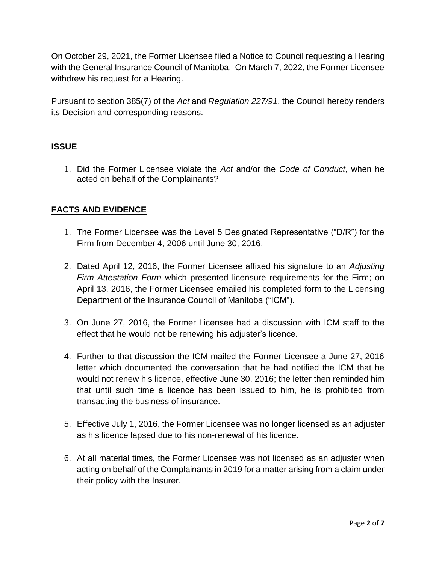On October 29, 2021, the Former Licensee filed a Notice to Council requesting a Hearing with the General Insurance Council of Manitoba. On March 7, 2022, the Former Licensee withdrew his request for a Hearing.

Pursuant to section 385(7) of the *Act* and *Regulation 227/91*, the Council hereby renders its Decision and corresponding reasons.

# **ISSUE**

1. Did the Former Licensee violate the *Act* and/or the *Code of Conduct*, when he acted on behalf of the Complainants?

# **FACTS AND EVIDENCE**

- 1. The Former Licensee was the Level 5 Designated Representative ("D/R") for the Firm from December 4, 2006 until June 30, 2016.
- 2. Dated April 12, 2016, the Former Licensee affixed his signature to an *Adjusting Firm Attestation Form* which presented licensure requirements for the Firm; on April 13, 2016, the Former Licensee emailed his completed form to the Licensing Department of the Insurance Council of Manitoba ("ICM").
- 3. On June 27, 2016, the Former Licensee had a discussion with ICM staff to the effect that he would not be renewing his adjuster's licence.
- 4. Further to that discussion the ICM mailed the Former Licensee a June 27, 2016 letter which documented the conversation that he had notified the ICM that he would not renew his licence, effective June 30, 2016; the letter then reminded him that until such time a licence has been issued to him, he is prohibited from transacting the business of insurance.
- 5. Effective July 1, 2016, the Former Licensee was no longer licensed as an adjuster as his licence lapsed due to his non-renewal of his licence.
- 6. At all material times, the Former Licensee was not licensed as an adjuster when acting on behalf of the Complainants in 2019 for a matter arising from a claim under their policy with the Insurer.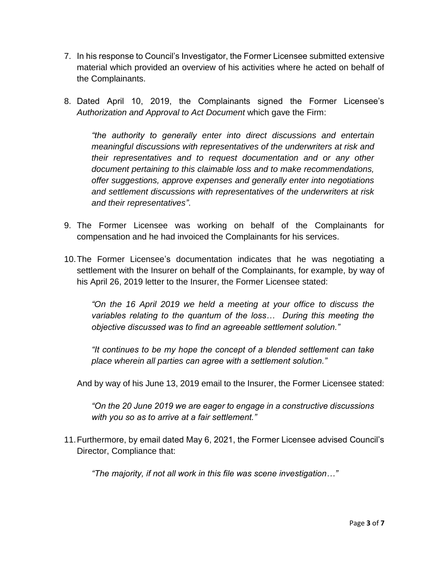- 7. In his response to Council's Investigator, the Former Licensee submitted extensive material which provided an overview of his activities where he acted on behalf of the Complainants.
- 8. Dated April 10, 2019, the Complainants signed the Former Licensee's *Authorization and Approval to Act Document* which gave the Firm:

*"the authority to generally enter into direct discussions and entertain meaningful discussions with representatives of the underwriters at risk and their representatives and to request documentation and or any other document pertaining to this claimable loss and to make recommendations, offer suggestions, approve expenses and generally enter into negotiations and settlement discussions with representatives of the underwriters at risk and their representatives"*.

- 9. The Former Licensee was working on behalf of the Complainants for compensation and he had invoiced the Complainants for his services.
- 10.The Former Licensee's documentation indicates that he was negotiating a settlement with the Insurer on behalf of the Complainants, for example, by way of his April 26, 2019 letter to the Insurer, the Former Licensee stated:

*"On the 16 April 2019 we held a meeting at your office to discuss the variables relating to the quantum of the loss… During this meeting the objective discussed was to find an agreeable settlement solution."*

*"It continues to be my hope the concept of a blended settlement can take place wherein all parties can agree with a settlement solution."*

And by way of his June 13, 2019 email to the Insurer, the Former Licensee stated:

*"On the 20 June 2019 we are eager to engage in a constructive discussions with you so as to arrive at a fair settlement."*

11.Furthermore, by email dated May 6, 2021, the Former Licensee advised Council's Director, Compliance that:

*"The majority, if not all work in this file was scene investigation…"*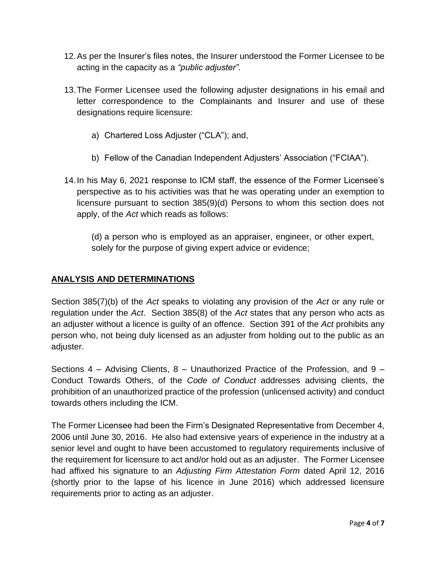- 12.As per the Insurer's files notes, the Insurer understood the Former Licensee to be acting in the capacity as a *"public adjuster"*.
- 13.The Former Licensee used the following adjuster designations in his email and letter correspondence to the Complainants and Insurer and use of these designations require licensure:
	- a) Chartered Loss Adjuster ("CLA"); and,
	- b) Fellow of the Canadian Independent Adjusters' Association ("FCIAA").
- 14.In his May 6, 2021 response to ICM staff, the essence of the Former Licensee's perspective as to his activities was that he was operating under an exemption to licensure pursuant to section 385(9)(d) Persons to whom this section does not apply, of the *Act* which reads as follows:

(d) a person who is employed as an appraiser, engineer, or other expert, solely for the purpose of giving expert advice or evidence;

# **ANALYSIS AND DETERMINATIONS**

Section 385(7)(b) of the *Act* speaks to violating any provision of the *Act* or any rule or regulation under the *Act*. Section 385(8) of the *Act* states that any person who acts as an adjuster without a licence is guilty of an offence. Section 391 of the *Act* prohibits any person who, not being duly licensed as an adjuster from holding out to the public as an adjuster.

Sections 4 – Advising Clients, 8 – Unauthorized Practice of the Profession, and 9 – Conduct Towards Others, of the *Code of Conduct* addresses advising clients, the prohibition of an unauthorized practice of the profession (unlicensed activity) and conduct towards others including the ICM.

The Former Licensee had been the Firm's Designated Representative from December 4, 2006 until June 30, 2016. He also had extensive years of experience in the industry at a senior level and ought to have been accustomed to regulatory requirements inclusive of the requirement for licensure to act and/or hold out as an adjuster. The Former Licensee had affixed his signature to an *Adjusting Firm Attestation Form* dated April 12, 2016 (shortly prior to the lapse of his licence in June 2016) which addressed licensure requirements prior to acting as an adjuster.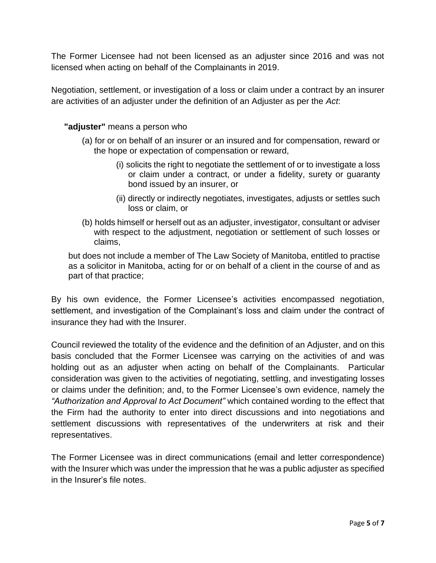The Former Licensee had not been licensed as an adjuster since 2016 and was not licensed when acting on behalf of the Complainants in 2019.

Negotiation, settlement, or investigation of a loss or claim under a contract by an insurer are activities of an adjuster under the definition of an Adjuster as per the *Act*:

#### **"adjuster"** means a person who

- (a) for or on behalf of an insurer or an insured and for compensation, reward or the hope or expectation of compensation or reward,
	- (i) solicits the right to negotiate the settlement of or to investigate a loss or claim under a contract, or under a fidelity, surety or guaranty bond issued by an insurer, or
	- (ii) directly or indirectly negotiates, investigates, adjusts or settles such loss or claim, or
- (b) holds himself or herself out as an adjuster, investigator, consultant or adviser with respect to the adjustment, negotiation or settlement of such losses or claims,

but does not include a member of The Law Society of Manitoba, entitled to practise as a solicitor in Manitoba, acting for or on behalf of a client in the course of and as part of that practice;

By his own evidence, the Former Licensee's activities encompassed negotiation, settlement, and investigation of the Complainant's loss and claim under the contract of insurance they had with the Insurer.

Council reviewed the totality of the evidence and the definition of an Adjuster, and on this basis concluded that the Former Licensee was carrying on the activities of and was holding out as an adjuster when acting on behalf of the Complainants. Particular consideration was given to the activities of negotiating, settling, and investigating losses or claims under the definition; and, to the Former Licensee's own evidence, namely the *"Authorization and Approval to Act Document"* which contained wording to the effect that the Firm had the authority to enter into direct discussions and into negotiations and settlement discussions with representatives of the underwriters at risk and their representatives.

The Former Licensee was in direct communications (email and letter correspondence) with the Insurer which was under the impression that he was a public adjuster as specified in the Insurer's file notes.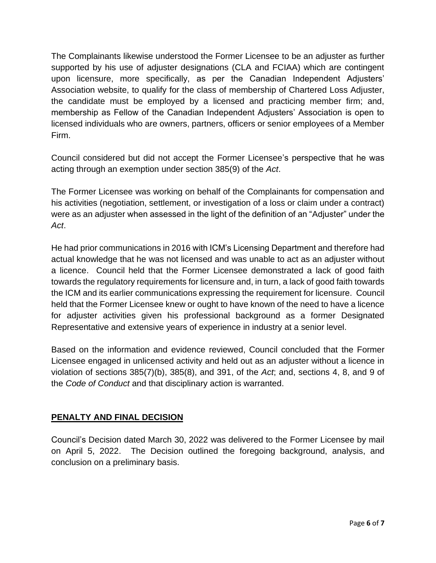The Complainants likewise understood the Former Licensee to be an adjuster as further supported by his use of adjuster designations (CLA and FCIAA) which are contingent upon licensure, more specifically, as per the Canadian Independent Adjusters' Association website, to qualify for the class of membership of Chartered Loss Adjuster, the candidate must be employed by a licensed and practicing member firm; and, membership as Fellow of the Canadian Independent Adjusters' Association is open to licensed individuals who are owners, partners, officers or senior employees of a Member Firm.

Council considered but did not accept the Former Licensee's perspective that he was acting through an exemption under section 385(9) of the *Act*.

The Former Licensee was working on behalf of the Complainants for compensation and his activities (negotiation, settlement, or investigation of a loss or claim under a contract) were as an adjuster when assessed in the light of the definition of an "Adjuster" under the *Act*.

He had prior communications in 2016 with ICM's Licensing Department and therefore had actual knowledge that he was not licensed and was unable to act as an adjuster without a licence. Council held that the Former Licensee demonstrated a lack of good faith towards the regulatory requirements for licensure and, in turn, a lack of good faith towards the ICM and its earlier communications expressing the requirement for licensure. Council held that the Former Licensee knew or ought to have known of the need to have a licence for adjuster activities given his professional background as a former Designated Representative and extensive years of experience in industry at a senior level.

Based on the information and evidence reviewed, Council concluded that the Former Licensee engaged in unlicensed activity and held out as an adjuster without a licence in violation of sections 385(7)(b), 385(8), and 391, of the *Act*; and, sections 4, 8, and 9 of the *Code of Conduct* and that disciplinary action is warranted.

# **PENALTY AND FINAL DECISION**

Council's Decision dated March 30, 2022 was delivered to the Former Licensee by mail on April 5, 2022. The Decision outlined the foregoing background, analysis, and conclusion on a preliminary basis.